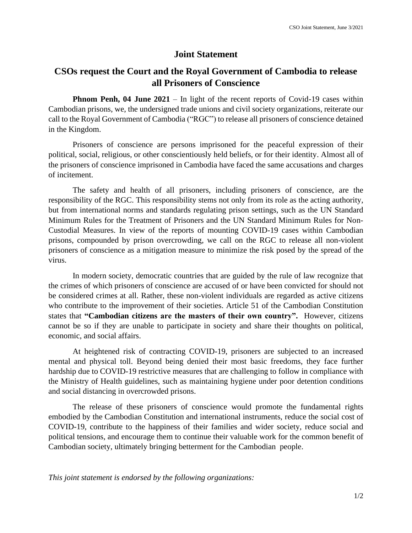## **Joint Statement**

## **CSOs request the Court and the Royal Government of Cambodia to release all Prisoners of Conscience**

**Phnom Penh, 04 June 2021** – In light of the recent reports of Covid-19 cases within Cambodian prisons, we, the undersigned trade unions and civil society organizations, reiterate our call to the Royal Government of Cambodia ("RGC") to release all prisoners of conscience detained in the Kingdom.

Prisoners of conscience are persons imprisoned for the peaceful expression of their political, social, religious, or other conscientiously held beliefs, or for their identity. Almost all of the prisoners of conscience imprisoned in Cambodia have faced the same accusations and charges of incitement.

The safety and health of all prisoners, including prisoners of conscience, are the responsibility of the RGC. This responsibility stems not only from its role as the acting authority, but from international norms and standards regulating prison settings, such as the UN Standard Minimum Rules for the Treatment of Prisoners and the UN Standard Minimum Rules for Non-Custodial Measures. In view of the reports of mounting COVID-19 cases within Cambodian prisons, compounded by prison overcrowding, we call on the RGC to release all non-violent prisoners of conscience as a mitigation measure to minimize the risk posed by the spread of the virus.

In modern society, democratic countries that are guided by the rule of law recognize that the crimes of which prisoners of conscience are accused of or have been convicted for should not be considered crimes at all. Rather, these non-violent individuals are regarded as active citizens who contribute to the improvement of their societies. Article 51 of the Cambodian Constitution states that **"Cambodian citizens are the masters of their own country".** However, citizens cannot be so if they are unable to participate in society and share their thoughts on political, economic, and social affairs.

At heightened risk of contracting COVID-19, prisoners are subjected to an increased mental and physical toll. Beyond being denied their most basic freedoms, they face further hardship due to COVID-19 restrictive measures that are challenging to follow in compliance with the Ministry of Health guidelines, such as maintaining hygiene under poor detention conditions and social distancing in overcrowded prisons.

The release of these prisoners of conscience would promote the fundamental rights embodied by the Cambodian Constitution and international instruments, reduce the social cost of COVID-19, contribute to the happiness of their families and wider society, reduce social and political tensions, and encourage them to continue their valuable work for the common benefit of Cambodian society, ultimately bringing betterment for the Cambodian people.

*This joint statement is endorsed by the following organizations:*